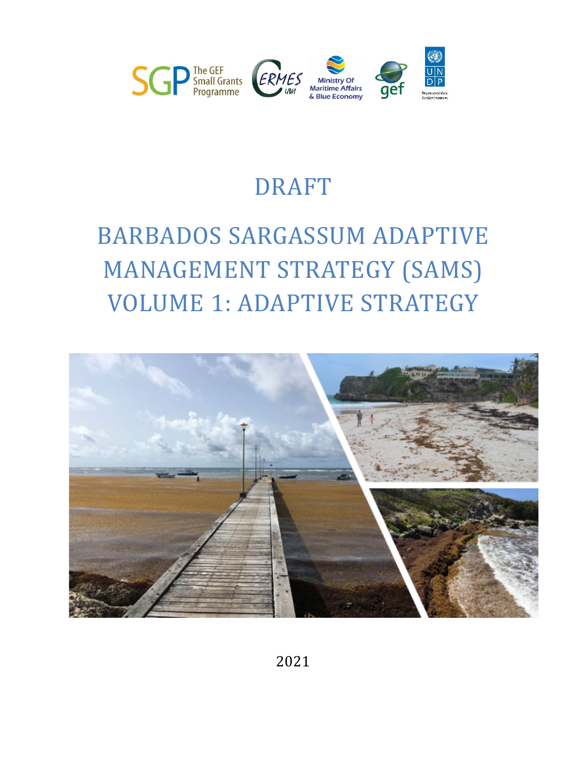

# DRAFT

# BARBADOS SARGASSUM ADAPTIVE MANAGEMENT STRATEGY (SAMS) VOLUME 1: ADAPTIVE STRATEGY

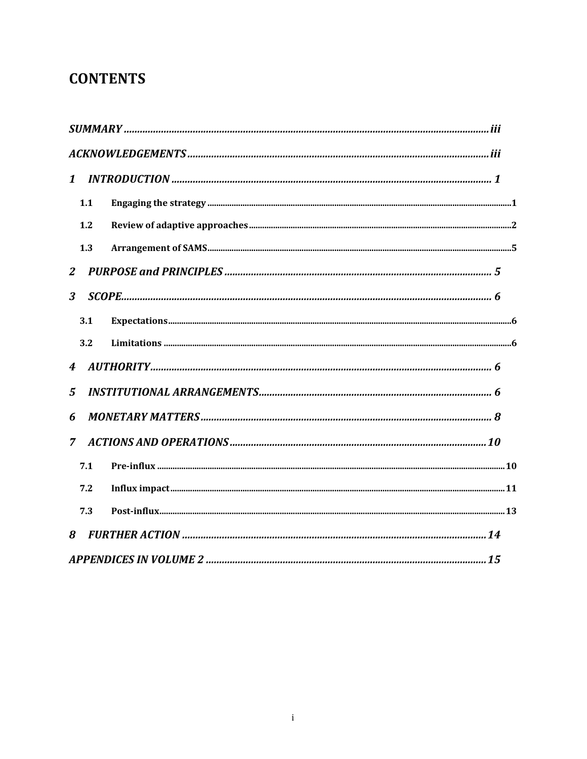# **CONTENTS**

| $\mathbf{1}$           |     |  |
|------------------------|-----|--|
|                        | 1.1 |  |
|                        | 1.2 |  |
|                        | 1.3 |  |
| 2                      |     |  |
| 3                      |     |  |
|                        | 3.1 |  |
|                        | 3.2 |  |
| $\boldsymbol{\Lambda}$ |     |  |
| $\mathbf{5}$           |     |  |
| 6                      |     |  |
| $\overline{7}$         |     |  |
|                        | 7.1 |  |
|                        | 7.2 |  |
|                        | 7.3 |  |
| 8                      |     |  |
|                        |     |  |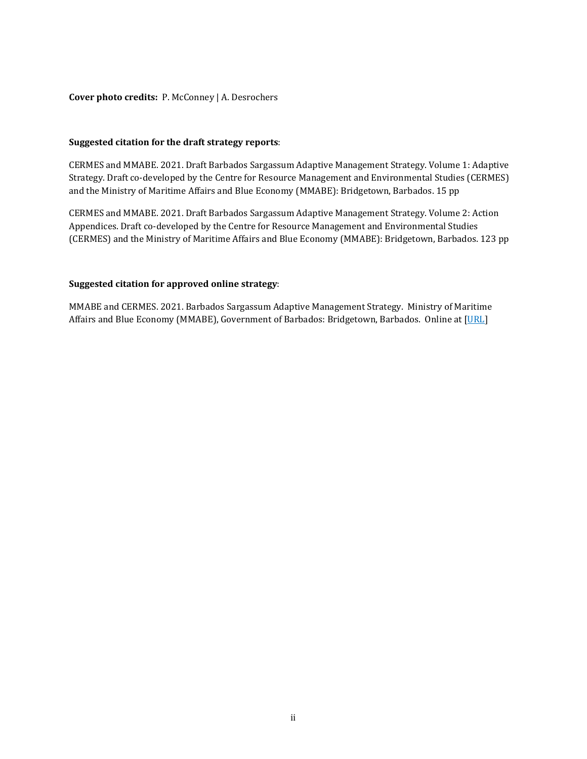#### **Cover photo credits:** P. McConney | A. Desrochers

#### **Suggested citation for the draft strategy reports**:

CERMES and MMABE. 2021. Draft Barbados Sargassum Adaptive Management Strategy. Volume 1: Adaptive Strategy. Draft co-developed by the Centre for Resource Management and Environmental Studies (CERMES) and the Ministry of Maritime Affairs and Blue Economy (MMABE): Bridgetown, Barbados. 15 pp

CERMES and MMABE. 2021. Draft Barbados Sargassum Adaptive Management Strategy. Volume 2: Action Appendices. Draft co-developed by the Centre for Resource Management and Environmental Studies (CERMES) and the Ministry of Maritime Affairs and Blue Economy (MMABE): Bridgetown, Barbados. 123 pp

#### **Suggested citation for approved online strategy**:

MMABE and CERMES. 2021. Barbados Sargassum Adaptive Management Strategy. Ministry of Maritime Affairs and Blue Economy (MMABE), Government of Barbados: Bridgetown, Barbados. Online at [URL]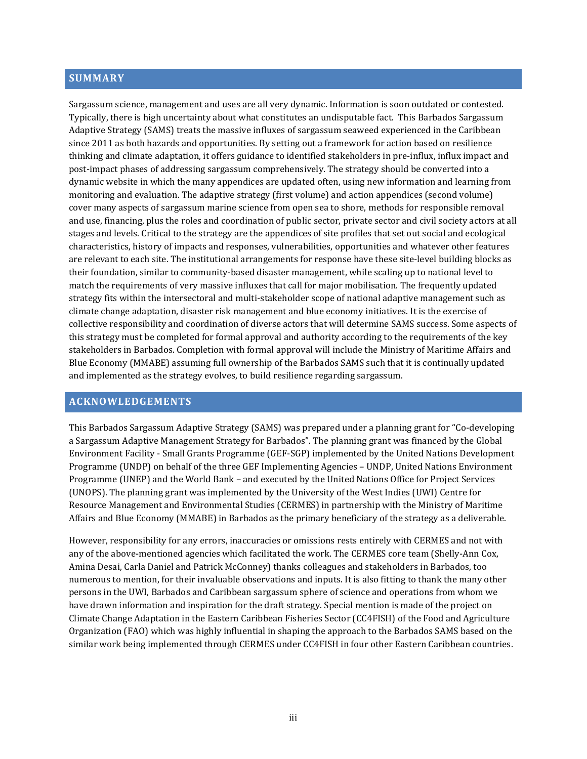#### <span id="page-3-0"></span>**SUMMARY**

Sargassum science, management and uses are all very dynamic. Information is soon outdated or contested. Typically, there is high uncertainty about what constitutes an undisputable fact. This Barbados Sargassum Adaptive Strategy (SAMS) treats the massive influxes of sargassum seaweed experienced in the Caribbean since 2011 as both hazards and opportunities. By setting out a framework for action based on resilience thinking and climate adaptation, it offers guidance to identified stakeholders in pre-influx, influx impact and post-impact phases of addressing sargassum comprehensively. The strategy should be converted into a dynamic website in which the many appendices are updated often, using new information and learning from monitoring and evaluation. The adaptive strategy (first volume) and action appendices (second volume) cover many aspects of sargassum marine science from open sea to shore, methods for responsible removal and use, financing, plus the roles and coordination of public sector, private sector and civil society actors at all stages and levels. Critical to the strategy are the appendices of site profiles that set out social and ecological characteristics, history of impacts and responses, vulnerabilities, opportunities and whatever other features are relevant to each site. The institutional arrangements for response have these site-level building blocks as their foundation, similar to community-based disaster management, while scaling up to national level to match the requirements of very massive influxes that call for major mobilisation. The frequently updated strategy fits within the intersectoral and multi-stakeholder scope of national adaptive management such as climate change adaptation, disaster risk management and blue economy initiatives. It is the exercise of collective responsibility and coordination of diverse actors that will determine SAMS success. Some aspects of this strategy must be completed for formal approval and authority according to the requirements of the key stakeholders in Barbados. Completion with formal approval will include the Ministry of Maritime Affairs and Blue Economy (MMABE) assuming full ownership of the Barbados SAMS such that it is continually updated and implemented as the strategy evolves, to build resilience regarding sargassum.

#### <span id="page-3-1"></span>**ACKNOWLEDGEMENTS**

This Barbados Sargassum Adaptive Strategy (SAMS) was prepared under a planning grant for "Co-developing a Sargassum Adaptive Management Strategy for Barbados". The planning grant was financed by the Global Environment Facility - Small Grants Programme (GEF-SGP) implemented by the United Nations Development Programme (UNDP) on behalf of the three GEF Implementing Agencies – UNDP, United Nations Environment Programme (UNEP) and the World Bank – and executed by the United Nations Office for Project Services (UNOPS). The planning grant was implemented by the University of the West Indies (UWI) Centre for Resource Management and Environmental Studies (CERMES) in partnership with the Ministry of Maritime Affairs and Blue Economy (MMABE) in Barbados as the primary beneficiary of the strategy as a deliverable.

However, responsibility for any errors, inaccuracies or omissions rests entirely with CERMES and not with any of the above-mentioned agencies which facilitated the work. The CERMES core team (Shelly-Ann Cox, Amina Desai, Carla Daniel and Patrick McConney) thanks colleagues and stakeholders in Barbados, too numerous to mention, for their invaluable observations and inputs. It is also fitting to thank the many other persons in the UWI, Barbados and Caribbean sargassum sphere of science and operations from whom we have drawn information and inspiration for the draft strategy. Special mention is made of the project on Climate Change Adaptation in the Eastern Caribbean Fisheries Sector (CC4FISH) of the Food and Agriculture Organization (FAO) which was highly influential in shaping the approach to the Barbados SAMS based on the similar work being implemented through CERMES under CC4FISH in four other Eastern Caribbean countries.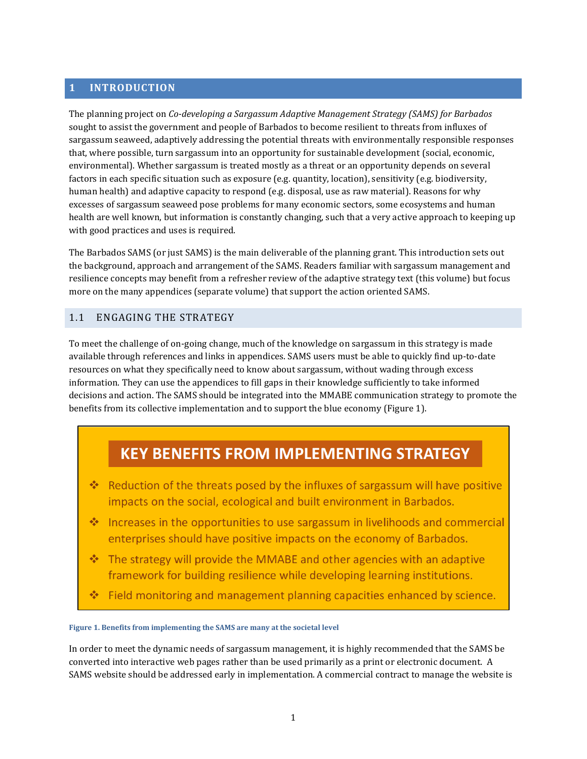## <span id="page-4-0"></span>**1 INTRODUCTION**

The planning project on *Co-developing a Sargassum Adaptive Management Strategy (SAMS) for Barbados* sought to assist the government and people of Barbados to become resilient to threats from influxes of sargassum seaweed, adaptively addressing the potential threats with environmentally responsible responses that, where possible, turn sargassum into an opportunity for sustainable development (social, economic, environmental). Whether sargassum is treated mostly as a threat or an opportunity depends on several factors in each specific situation such as exposure (e.g. quantity, location), sensitivity (e.g. biodiversity, human health) and adaptive capacity to respond (e.g. disposal, use as raw material). Reasons for why excesses of sargassum seaweed pose problems for many economic sectors, some ecosystems and human health are well known, but information is constantly changing, such that a very active approach to keeping up with good practices and uses is required.

The Barbados SAMS (or just SAMS) is the main deliverable of the planning grant. This introduction sets out the background, approach and arrangement of the SAMS. Readers familiar with sargassum management and resilience concepts may benefit from a refresher review of the adaptive strategy text (this volume) but focus more on the many appendices (separate volume) that support the action oriented SAMS.

#### <span id="page-4-1"></span>1.1 ENGAGING THE STRATEGY

To meet the challenge of on-going change, much of the knowledge on sargassum in this strategy is made available through references and links in appendices. SAMS users must be able to quickly find up-to-date resources on what they specifically need to know about sargassum, without wading through excess information. They can use the appendices to fill gaps in their knowledge sufficiently to take informed decisions and action. The SAMS should be integrated into the MMABE communication strategy to promote the benefits from its collective implementation and to support the blue economy [\(Figure 1\)](#page-4-2).

# **KEY BENEFITS FROM IMPLEMENTING STRATEGY**

- \* Reduction of the threats posed by the influxes of sargassum will have positive impacts on the social, ecological and built environment in Barbados.
- $\sigma_{\rm eff}^{\rm th}$ Increases in the opportunities to use sargassum in livelihoods and commercial enterprises should have positive impacts on the economy of Barbados.
- The strategy will provide the MMABE and other agencies with an adaptive  $\frac{1}{2}$ framework for building resilience while developing learning institutions.
- Field monitoring and management planning capacities enhanced by science. 榛

#### <span id="page-4-2"></span>**Figure 1. Benefits from implementing the SAMS are many at the societal level**

In order to meet the dynamic needs of sargassum management, it is highly recommended that the SAMS be converted into interactive web pages rather than be used primarily as a print or electronic document. A SAMS website should be addressed early in implementation. A commercial contract to manage the website is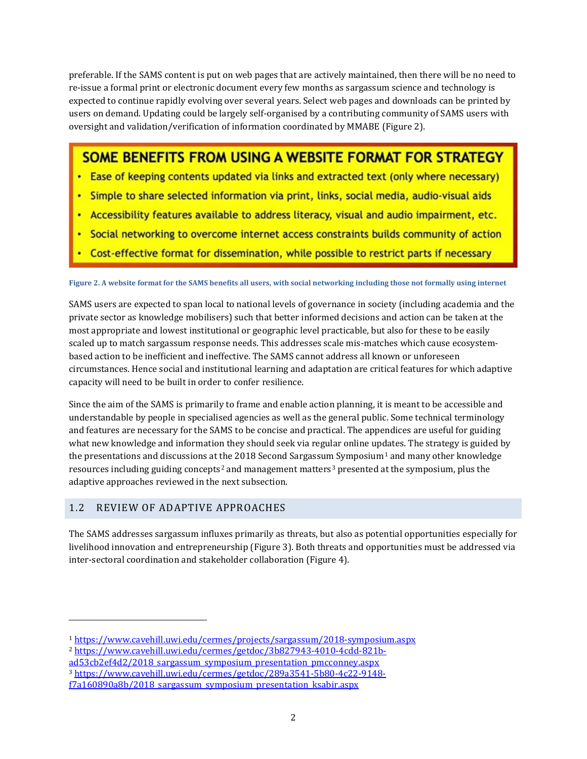preferable. If the SAMS content is put on web pages that are actively maintained, then there will be no need to re-issue a formal print or electronic document every few months as sargassum science and technology is expected to continue rapidly evolving over several years. Select web pages and downloads can be printed by users on demand. Updating could be largely self-organised by a contributing community of SAMS users with oversight and validation/verification of information coordinated by MMABE [\(Figure 2\)](#page-5-1).

# **SOME BENEFITS FROM USING A WEBSITE FORMAT FOR STRATEGY**

- Ease of keeping contents updated via links and extracted text (only where necessary)
- · Simple to share selected information via print, links, social media, audio-visual aids
- Accessibility features available to address literacy, visual and audio impairment, etc.
- Social networking to overcome internet access constraints builds community of action
- Cost-effective format for dissemination, while possible to restrict parts if necessary

#### <span id="page-5-1"></span>**Figure 2. A website format for the SAMS benefits all users, with social networking including those not formally using internet**

SAMS users are expected to span local to national levels of governance in society (including academia and the private sector as knowledge mobilisers) such that better informed decisions and action can be taken at the most appropriate and lowest institutional or geographic level practicable, but also for these to be easily scaled up to match sargassum response needs. This addresses scale mis-matches which cause ecosystembased action to be inefficient and ineffective. The SAMS cannot address all known or unforeseen circumstances. Hence social and institutional learning and adaptation are critical features for which adaptive capacity will need to be built in order to confer resilience.

Since the aim of the SAMS is primarily to frame and enable action planning, it is meant to be accessible and understandable by people in specialised agencies as well as the general public. Some technical terminology and features are necessary for the SAMS to be concise and practical. The appendices are useful for guiding what new knowledge and information they should seek via regular online updates. The strategy is guided by the presentations and discussions at the 20[1](#page-5-2)8 Second Sargassum Symposium<sup>1</sup> and many other knowledge resources including guiding concepts<sup>[2](#page-5-3)</sup> and management matters<sup>[3](#page-5-4)</sup> presented at the symposium, plus the adaptive approaches reviewed in the next subsection.

#### <span id="page-5-0"></span>1.2 REVIEW OF ADAPTIVE APPROACHES

j

The SAMS addresses sargassum influxes primarily as threats, but also as potential opportunities especially for livelihood innovation and entrepreneurship [\(Figure 3\)](#page-6-0). Both threats and opportunities must be addressed via inter-sectoral coordination and stakeholder collaboration [\(Figure 4\)](#page-6-1).

<span id="page-5-2"></span><sup>1</sup> <https://www.cavehill.uwi.edu/cermes/projects/sargassum/2018-symposium.aspx>

<span id="page-5-3"></span><sup>2</sup> [https://www.cavehill.uwi.edu/cermes/getdoc/3b827943-4010-4cdd-821b-](https://www.cavehill.uwi.edu/cermes/getdoc/3b827943-4010-4cdd-821b-ad53cb2ef4d2/2018_sargassum_symposium_presentation_pmcconney.aspx)

ad53cb2ef4d2/2018 sargassum symposium presentation pmcconney.aspx

<span id="page-5-4"></span><sup>3</sup> [https://www.cavehill.uwi.edu/cermes/getdoc/289a3541-5b80-4c22-9148-](https://www.cavehill.uwi.edu/cermes/getdoc/289a3541-5b80-4c22-9148-f7a160890a8b/2018_sargassum_symposium_presentation_ksabir.aspx)

f7a160890a8b/2018 sargassum symposium presentation ksabir.aspx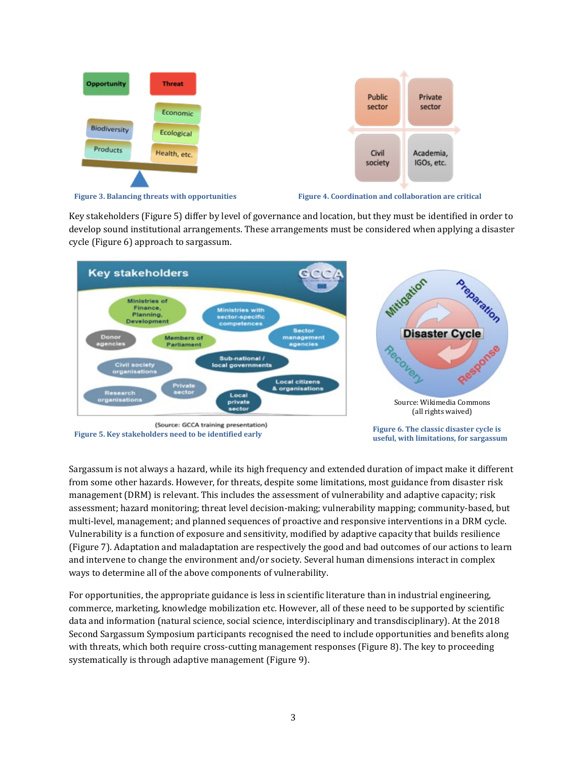

<span id="page-6-0"></span>

<span id="page-6-3"></span><span id="page-6-1"></span>

Key stakeholders [\(Figure 5\)](#page-6-2) differ by level of governance and location, but they must be identified in order to develop sound institutional arrangements. These arrangements must be considered when applying a disaster cycle [\(Figure 6\)](#page-6-3) approach to sargassum.



<span id="page-6-2"></span>Sargassum is not always a hazard, while its high frequency and extended duration of impact make it different from some other hazards. However, for threats, despite some limitations, most guidance from disaster risk management (DRM) is relevant. This includes the assessment of vulnerability and adaptive capacity; risk assessment; hazard monitoring; threat level decision-making; vulnerability mapping; community-based, but multi-level, management; and planned sequences of proactive and responsive interventions in a DRM cycle. Vulnerability is a function of exposure and sensitivity, modified by adaptive capacity that builds resilience [\(Figure 7\)](#page-7-0). Adaptation and maladaptation are respectively the good and bad outcomes of our actions to learn and intervene to change the environment and/or society. Several human dimensions interact in complex ways to determine all of the above components of vulnerability.

For opportunities, the appropriate guidance is less in scientific literature than in industrial engineering, commerce, marketing, knowledge mobilization etc. However, all of these need to be supported by scientific data and information (natural science, social science, interdisciplinary and transdisciplinary). At the 2018 Second Sargassum Symposium participants recognised the need to include opportunities and benefits along with threats, which both require cross-cutting management responses [\(Figure 8\)](#page-7-1). The key to proceeding systematically is through adaptive management [\(Figure 9\)](#page-7-2).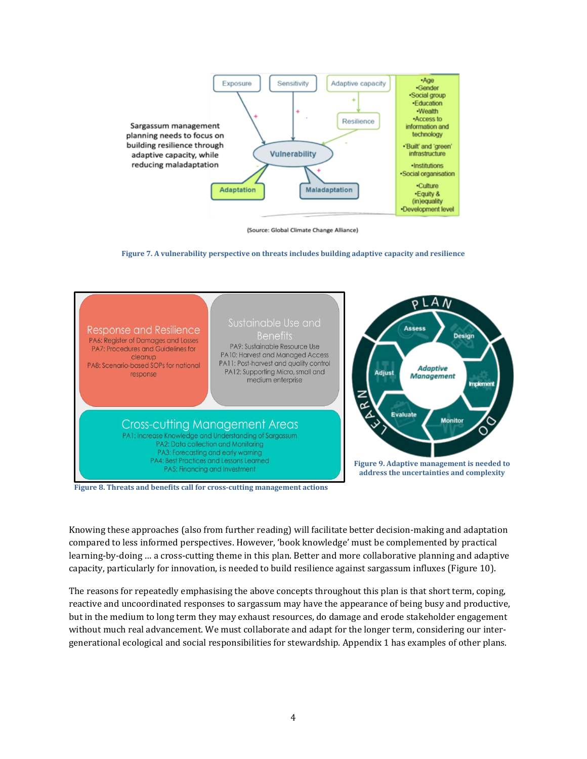

<span id="page-7-2"></span>(Source: Global Climate Change Alliance)

**Figure 7. A vulnerability perspective on threats includes building adaptive capacity and resilience**

<span id="page-7-0"></span>

<span id="page-7-1"></span>**Figure 8. Threats and benefits call for cross-cutting management actions**

Knowing these approaches (also from further reading) will facilitate better decision-making and adaptation compared to less informed perspectives. However, 'book knowledge' must be complemented by practical learning-by-doing … a cross-cutting theme in this plan. Better and more collaborative planning and adaptive capacity, particularly for innovation, is needed to build resilience against sargassum influxes [\(Figure 10\)](#page-8-2).

The reasons for repeatedly emphasising the above concepts throughout this plan is that short term, coping, reactive and uncoordinated responses to sargassum may have the appearance of being busy and productive, but in the medium to long term they may exhaust resources, do damage and erode stakeholder engagement without much real advancement. We must collaborate and adapt for the longer term, considering our intergenerational ecological and social responsibilities for stewardship. Appendix 1 has examples of other plans.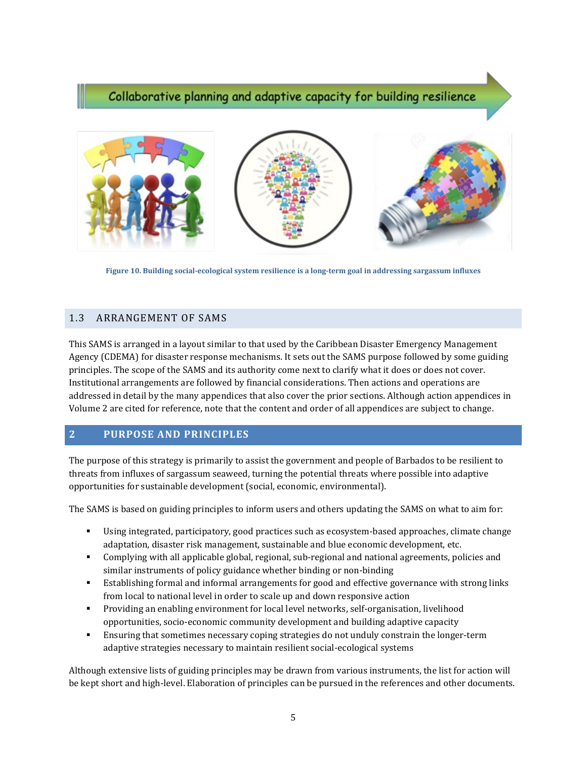# Collaborative planning and adaptive capacity for building resilience



**Figure 10. Building social-ecological system resilience is a long-term goal in addressing sargassum influxes**

#### <span id="page-8-2"></span><span id="page-8-0"></span>1.3 ARRANGEMENT OF SAMS

This SAMS is arranged in a layout similar to that used by the Caribbean Disaster Emergency Management Agency (CDEMA) for disaster response mechanisms. It sets out the SAMS purpose followed by some guiding principles. The scope of the SAMS and its authority come next to clarify what it does or does not cover. Institutional arrangements are followed by financial considerations. Then actions and operations are addressed in detail by the many appendices that also cover the prior sections. Although action appendices in Volume 2 are cited for reference, note that the content and order of all appendices are subject to change.

#### <span id="page-8-1"></span>**2 PURPOSE AND PRINCIPLES**

The purpose of this strategy is primarily to assist the government and people of Barbados to be resilient to threats from influxes of sargassum seaweed, turning the potential threats where possible into adaptive opportunities for sustainable development (social, economic, environmental).

The SAMS is based on guiding principles to inform users and others updating the SAMS on what to aim for:

- Using integrated, participatory, good practices such as ecosystem-based approaches, climate change adaptation, disaster risk management, sustainable and blue economic development, etc.
- Complying with all applicable global, regional, sub-regional and national agreements, policies and similar instruments of policy guidance whether binding or non-binding
- Establishing formal and informal arrangements for good and effective governance with strong links from local to national level in order to scale up and down responsive action
- Providing an enabling environment for local level networks, self-organisation, livelihood opportunities, socio-economic community development and building adaptive capacity
- Ensuring that sometimes necessary coping strategies do not unduly constrain the longer-term adaptive strategies necessary to maintain resilient social-ecological systems

Although extensive lists of guiding principles may be drawn from various instruments, the list for action will be kept short and high-level. Elaboration of principles can be pursued in the references and other documents.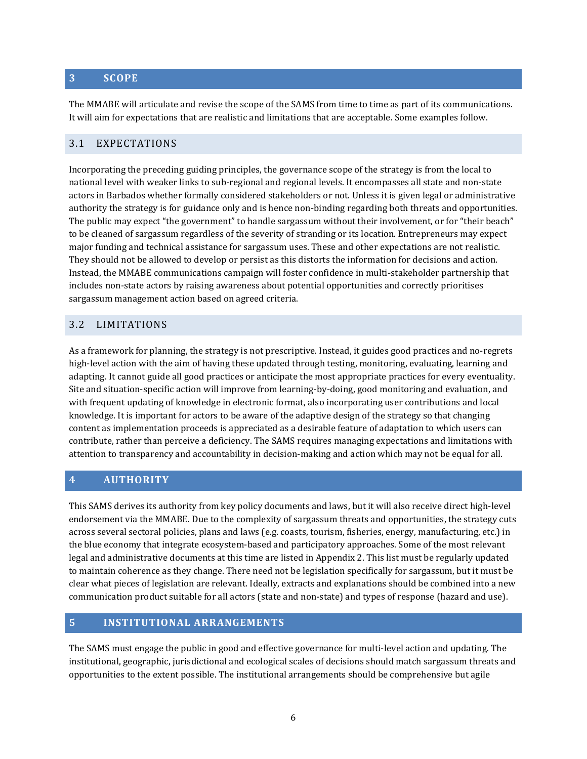## <span id="page-9-0"></span>**3 SCOPE**

The MMABE will articulate and revise the scope of the SAMS from time to time as part of its communications. It will aim for expectations that are realistic and limitations that are acceptable. Some examples follow.

#### <span id="page-9-1"></span>3.1 EXPECTATIONS

Incorporating the preceding guiding principles, the governance scope of the strategy is from the local to national level with weaker links to sub-regional and regional levels. It encompasses all state and non-state actors in Barbados whether formally considered stakeholders or not. Unless it is given legal or administrative authority the strategy is for guidance only and is hence non-binding regarding both threats and opportunities. The public may expect "the government" to handle sargassum without their involvement, or for "their beach" to be cleaned of sargassum regardless of the severity of stranding or its location. Entrepreneurs may expect major funding and technical assistance for sargassum uses. These and other expectations are not realistic. They should not be allowed to develop or persist as this distorts the information for decisions and action. Instead, the MMABE communications campaign will foster confidence in multi-stakeholder partnership that includes non-state actors by raising awareness about potential opportunities and correctly prioritises sargassum management action based on agreed criteria.

#### <span id="page-9-2"></span>3.2 LIMITATIONS

As a framework for planning, the strategy is not prescriptive. Instead, it guides good practices and no-regrets high-level action with the aim of having these updated through testing, monitoring, evaluating, learning and adapting. It cannot guide all good practices or anticipate the most appropriate practices for every eventuality. Site and situation-specific action will improve from learning-by-doing, good monitoring and evaluation, and with frequent updating of knowledge in electronic format, also incorporating user contributions and local knowledge. It is important for actors to be aware of the adaptive design of the strategy so that changing content as implementation proceeds is appreciated as a desirable feature of adaptation to which users can contribute, rather than perceive a deficiency. The SAMS requires managing expectations and limitations with attention to transparency and accountability in decision-making and action which may not be equal for all.

#### <span id="page-9-3"></span>**4 AUTHORITY**

This SAMS derives its authority from key policy documents and laws, but it will also receive direct high-level endorsement via the MMABE. Due to the complexity of sargassum threats and opportunities, the strategy cuts across several sectoral policies, plans and laws (e.g. coasts, tourism, fisheries, energy, manufacturing, etc.) in the blue economy that integrate ecosystem-based and participatory approaches. Some of the most relevant legal and administrative documents at this time are listed in Appendix 2. This list must be regularly updated to maintain coherence as they change. There need not be legislation specifically for sargassum, but it must be clear what pieces of legislation are relevant. Ideally, extracts and explanations should be combined into a new communication product suitable for all actors (state and non-state) and types of response (hazard and use).

#### <span id="page-9-4"></span>**5 INSTITUTIONAL ARRANGEMENTS**

The SAMS must engage the public in good and effective governance for multi-level action and updating. The institutional, geographic, jurisdictional and ecological scales of decisions should match sargassum threats and opportunities to the extent possible. The institutional arrangements should be comprehensive but agile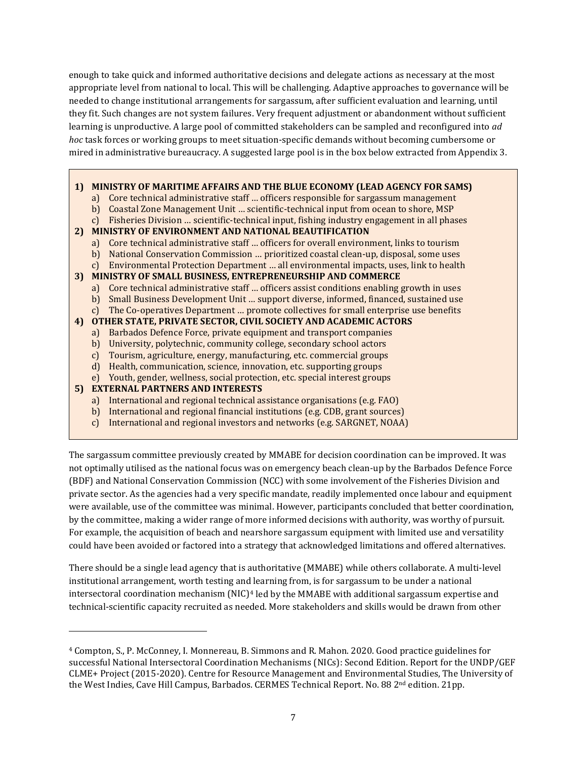enough to take quick and informed authoritative decisions and delegate actions as necessary at the most appropriate level from national to local. This will be challenging. Adaptive approaches to governance will be needed to change institutional arrangements for sargassum, after sufficient evaluation and learning, until they fit. Such changes are not system failures. Very frequent adjustment or abandonment without sufficient learning is unproductive. A large pool of committed stakeholders can be sampled and reconfigured into *ad hoc* task forces or working groups to meet situation-specific demands without becoming cumbersome or mired in administrative bureaucracy. A suggested large pool is in the box below extracted from Appendix 3.

#### **1) MINISTRY OF MARITIME AFFAIRS AND THE BLUE ECONOMY (LEAD AGENCY FOR SAMS)**

- a) Core technical administrative staff … officers responsible for sargassum management
- b) Coastal Zone Management Unit … scientific-technical input from ocean to shore, MSP
- c) Fisheries Division … scientific-technical input, fishing industry engagement in all phases

#### **2) MINISTRY OF ENVIRONMENT AND NATIONAL BEAUTIFICATION**

- a) Core technical administrative staff … officers for overall environment, links to tourism
- b) National Conservation Commission … prioritized coastal clean-up, disposal, some uses
- c) Environmental Protection Department … all environmental impacts, uses, link to health

#### **3) MINISTRY OF SMALL BUSINESS, ENTREPRENEURSHIP AND COMMERCE**

- a) Core technical administrative staff … officers assist conditions enabling growth in uses
- b) Small Business Development Unit … support diverse, informed, financed, sustained use
- c) The Co-operatives Department … promote collectives for small enterprise use benefits

#### **4) OTHER STATE, PRIVATE SECTOR, CIVIL SOCIETY AND ACADEMIC ACTORS**

- a) Barbados Defence Force, private equipment and transport companies
- b) University, polytechnic, community college, secondary school actors
- c) Tourism, agriculture, energy, manufacturing, etc. commercial groups
- d) Health, communication, science, innovation, etc. supporting groups
- e) Youth, gender, wellness, social protection, etc. special interest groups

#### **5) EXTERNAL PARTNERS AND INTERESTS**

j

- a) International and regional technical assistance organisations (e.g. FAO)
- b) International and regional financial institutions (e.g. CDB, grant sources)
- c) International and regional investors and networks (e.g. SARGNET, NOAA)

The sargassum committee previously created by MMABE for decision coordination can be improved. It was not optimally utilised as the national focus was on emergency beach clean-up by the Barbados Defence Force (BDF) and National Conservation Commission (NCC) with some involvement of the Fisheries Division and private sector. As the agencies had a very specific mandate, readily implemented once labour and equipment were available, use of the committee was minimal. However, participants concluded that better coordination, by the committee, making a wider range of more informed decisions with authority, was worthy of pursuit. For example, the acquisition of beach and nearshore sargassum equipment with limited use and versatility could have been avoided or factored into a strategy that acknowledged limitations and offered alternatives.

There should be a single lead agency that is authoritative (MMABE) while others collaborate. A multi-level institutional arrangement, worth testing and learning from, is for sargassum to be under a national intersectoral coordination mechanism  $(NIC)^4$  $(NIC)^4$  led by the MMABE with additional sargassum expertise and technical-scientific capacity recruited as needed. More stakeholders and skills would be drawn from other

<span id="page-10-0"></span><sup>4</sup> Compton, S., P. McConney, I. Monnereau, B. Simmons and R. Mahon. 2020. Good practice guidelines for successful National Intersectoral Coordination Mechanisms (NICs): Second Edition. Report for the UNDP/GEF CLME+ Project (2015-2020). Centre for Resource Management and Environmental Studies, The University of the West Indies, Cave Hill Campus, Barbados. CERMES Technical Report. No. 88 2<sup>nd</sup> edition. 21pp.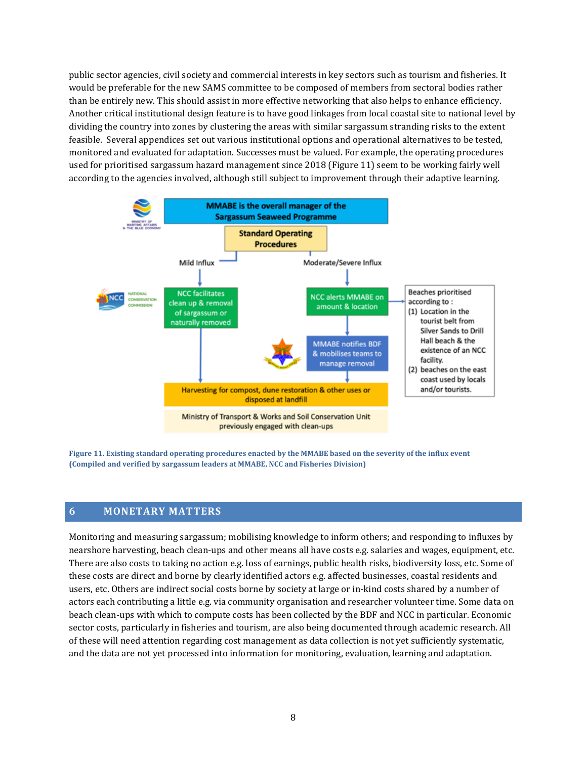public sector agencies, civil society and commercial interests in key sectors such as tourism and fisheries. It would be preferable for the new SAMS committee to be composed of members from sectoral bodies rather than be entirely new. This should assist in more effective networking that also helps to enhance efficiency. Another critical institutional design feature is to have good linkages from local coastal site to national level by dividing the country into zones by clustering the areas with similar sargassum stranding risks to the extent feasible. Several appendices set out various institutional options and operational alternatives to be tested, monitored and evaluated for adaptation. Successes must be valued. For example, the operating procedures used for prioritised sargassum hazard management since 2018 [\(Figure 11\)](#page-11-1) seem to be working fairly well according to the agencies involved, although still subject to improvement through their adaptive learning.



<span id="page-11-1"></span>**Figure 11. Existing standard operating procedures enacted by the MMABE based on the severity of the influx event (Compiled and verified by sargassum leaders at MMABE, NCC and Fisheries Division)**

#### <span id="page-11-0"></span>**6 MONETARY MATTERS**

Monitoring and measuring sargassum; mobilising knowledge to inform others; and responding to influxes by nearshore harvesting, beach clean-ups and other means all have costs e.g. salaries and wages, equipment, etc. There are also costs to taking no action e.g. loss of earnings, public health risks, biodiversity loss, etc. Some of these costs are direct and borne by clearly identified actors e.g. affected businesses, coastal residents and users, etc. Others are indirect social costs borne by society at large or in-kind costs shared by a number of actors each contributing a little e.g. via community organisation and researcher volunteer time. Some data on beach clean-ups with which to compute costs has been collected by the BDF and NCC in particular. Economic sector costs, particularly in fisheries and tourism, are also being documented through academic research. All of these will need attention regarding cost management as data collection is not yet sufficiently systematic, and the data are not yet processed into information for monitoring, evaluation, learning and adaptation.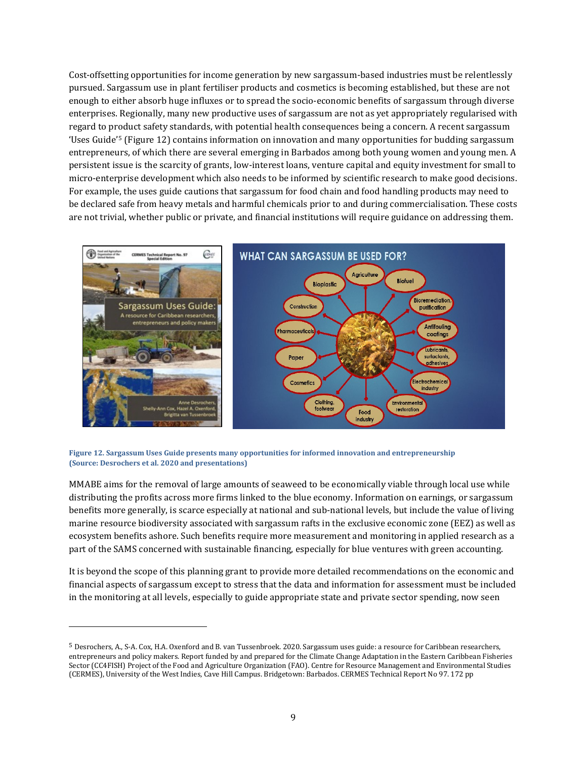Cost-offsetting opportunities for income generation by new sargassum-based industries must be relentlessly pursued. Sargassum use in plant fertiliser products and cosmetics is becoming established, but these are not enough to either absorb huge influxes or to spread the socio-economic benefits of sargassum through diverse enterprises. Regionally, many new productive uses of sargassum are not as yet appropriately regularised with regard to product safety standards, with potential health consequences being a concern. A recent sargassum 'Uses Guide'[5](#page-12-1) [\(Figure 12\)](#page-12-0) contains information on innovation and many opportunities for budding sargassum entrepreneurs, of which there are several emerging in Barbados among both young women and young men. A persistent issue is the scarcity of grants, low-interest loans, venture capital and equity investment for small to micro-enterprise development which also needs to be informed by scientific research to make good decisions. For example, the uses guide cautions that sargassum for food chain and food handling products may need to be declared safe from heavy metals and harmful chemicals prior to and during commercialisation. These costs are not trivial, whether public or private, and financial institutions will require guidance on addressing them.



<span id="page-12-0"></span>

j

MMABE aims for the removal of large amounts of seaweed to be economically viable through local use while distributing the profits across more firms linked to the blue economy. Information on earnings, or sargassum benefits more generally, is scarce especially at national and sub-national levels, but include the value of living marine resource biodiversity associated with sargassum rafts in the exclusive economic zone (EEZ) as well as ecosystem benefits ashore. Such benefits require more measurement and monitoring in applied research as a part of the SAMS concerned with sustainable financing, especially for blue ventures with green accounting.

It is beyond the scope of this planning grant to provide more detailed recommendations on the economic and financial aspects of sargassum except to stress that the data and information for assessment must be included in the monitoring at all levels, especially to guide appropriate state and private sector spending, now seen

<span id="page-12-1"></span><sup>5</sup> Desrochers, A., S-A. Cox, H.A. Oxenford and B. van Tussenbroek. 2020. Sargassum uses guide: a resource for Caribbean researchers, entrepreneurs and policy makers. Report funded by and prepared for the Climate Change Adaptation in the Eastern Caribbean Fisheries Sector (CC4FISH) Project of the Food and Agriculture Organization (FAO). Centre for Resource Management and Environmental Studies (CERMES), University of the West Indies, Cave Hill Campus. Bridgetown: Barbados. CERMES Technical Report No 97. 172 pp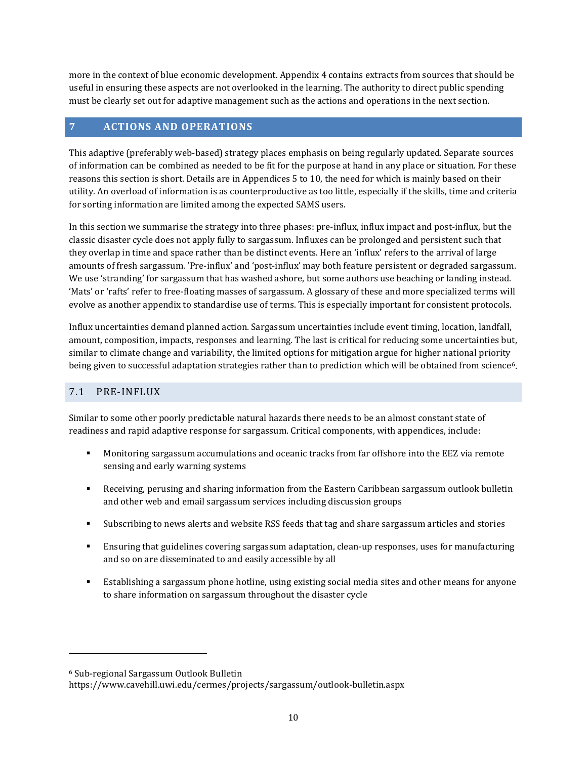more in the context of blue economic development. Appendix 4 contains extracts from sources that should be useful in ensuring these aspects are not overlooked in the learning. The authority to direct public spending must be clearly set out for adaptive management such as the actions and operations in the next section.

## <span id="page-13-0"></span>**7 ACTIONS AND OPERATIONS**

This adaptive (preferably web-based) strategy places emphasis on being regularly updated. Separate sources of information can be combined as needed to be fit for the purpose at hand in any place or situation. For these reasons this section is short. Details are in Appendices 5 to 10, the need for which is mainly based on their utility. An overload of information is as counterproductive as too little, especially if the skills, time and criteria for sorting information are limited among the expected SAMS users.

In this section we summarise the strategy into three phases: pre-influx, influx impact and post-influx, but the classic disaster cycle does not apply fully to sargassum. Influxes can be prolonged and persistent such that they overlap in time and space rather than be distinct events. Here an 'influx' refers to the arrival of large amounts of fresh sargassum. 'Pre-influx' and 'post-influx' may both feature persistent or degraded sargassum. We use 'stranding' for sargassum that has washed ashore, but some authors use beaching or landing instead. 'Mats' or 'rafts' refer to free-floating masses of sargassum. A glossary of these and more specialized terms will evolve as another appendix to standardise use of terms. This is especially important for consistent protocols.

Influx uncertainties demand planned action. Sargassum uncertainties include event timing, location, landfall, amount, composition, impacts, responses and learning. The last is critical for reducing some uncertainties but, similar to climate change and variability, the limited options for mitigation argue for higher national priority being given to successful adaptation strategies rather than to prediction which will be obtained from science<sup>6</sup>.

#### <span id="page-13-1"></span>7.1 PRE-INFLUX

Similar to some other poorly predictable natural hazards there needs to be an almost constant state of readiness and rapid adaptive response for sargassum. Critical components, with appendices, include:

- Monitoring sargassum accumulations and oceanic tracks from far offshore into the EEZ via remote sensing and early warning systems
- Receiving, perusing and sharing information from the Eastern Caribbean sargassum outlook bulletin and other web and email sargassum services including discussion groups
- Subscribing to news alerts and website RSS feeds that tag and share sargassum articles and stories
- Ensuring that guidelines covering sargassum adaptation, clean-up responses, uses for manufacturing and so on are disseminated to and easily accessible by all
- Establishing a sargassum phone hotline, using existing social media sites and other means for anyone to share information on sargassum throughout the disaster cycle

j

<span id="page-13-2"></span><sup>6</sup> Sub-regional Sargassum Outlook Bulletin

https://www.cavehill.uwi.edu/cermes/projects/sargassum/outlook-bulletin.aspx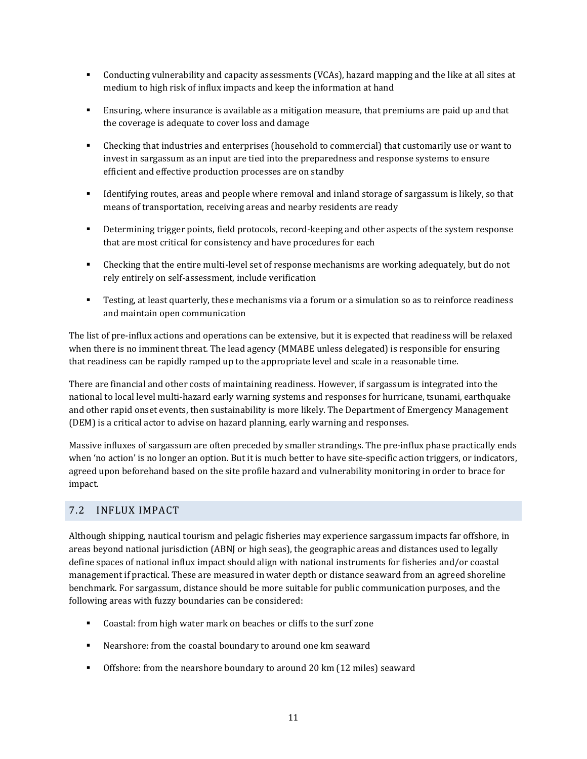- Conducting vulnerability and capacity assessments (VCAs), hazard mapping and the like at all sites at medium to high risk of influx impacts and keep the information at hand
- Ensuring, where insurance is available as a mitigation measure, that premiums are paid up and that the coverage is adequate to cover loss and damage
- Checking that industries and enterprises (household to commercial) that customarily use or want to invest in sargassum as an input are tied into the preparedness and response systems to ensure efficient and effective production processes are on standby
- Identifying routes, areas and people where removal and inland storage of sargassum is likely, so that means of transportation, receiving areas and nearby residents are ready
- **•** Determining trigger points, field protocols, record-keeping and other aspects of the system response that are most critical for consistency and have procedures for each
- Checking that the entire multi-level set of response mechanisms are working adequately, but do not rely entirely on self-assessment, include verification
- Testing, at least quarterly, these mechanisms via a forum or a simulation so as to reinforce readiness and maintain open communication

The list of pre-influx actions and operations can be extensive, but it is expected that readiness will be relaxed when there is no imminent threat. The lead agency (MMABE unless delegated) is responsible for ensuring that readiness can be rapidly ramped up to the appropriate level and scale in a reasonable time.

There are financial and other costs of maintaining readiness. However, if sargassum is integrated into the national to local level multi-hazard early warning systems and responses for hurricane, tsunami, earthquake and other rapid onset events, then sustainability is more likely. The Department of Emergency Management (DEM) is a critical actor to advise on hazard planning, early warning and responses.

Massive influxes of sargassum are often preceded by smaller strandings. The pre-influx phase practically ends when 'no action' is no longer an option. But it is much better to have site-specific action triggers, or indicators, agreed upon beforehand based on the site profile hazard and vulnerability monitoring in order to brace for impact.

#### <span id="page-14-0"></span>7.2 INFLUX IMPACT

Although shipping, nautical tourism and pelagic fisheries may experience sargassum impacts far offshore, in areas beyond national jurisdiction (ABNJ or high seas), the geographic areas and distances used to legally define spaces of national influx impact should align with national instruments for fisheries and/or coastal management if practical. These are measured in water depth or distance seaward from an agreed shoreline benchmark. For sargassum, distance should be more suitable for public communication purposes, and the following areas with fuzzy boundaries can be considered:

- Coastal: from high water mark on beaches or cliffs to the surf zone
- Nearshore: from the coastal boundary to around one km seaward
- Offshore: from the nearshore boundary to around 20 km (12 miles) seaward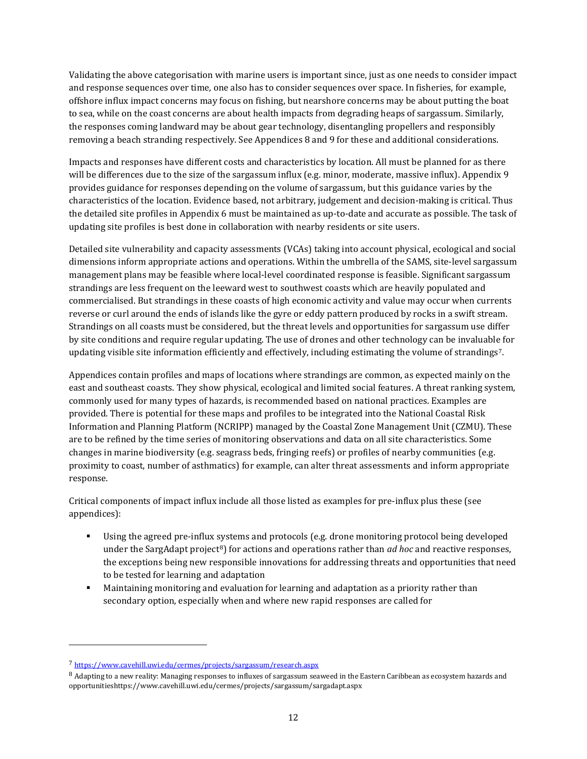Validating the above categorisation with marine users is important since, just as one needs to consider impact and response sequences over time, one also has to consider sequences over space. In fisheries, for example, offshore influx impact concerns may focus on fishing, but nearshore concerns may be about putting the boat to sea, while on the coast concerns are about health impacts from degrading heaps of sargassum. Similarly, the responses coming landward may be about gear technology, disentangling propellers and responsibly removing a beach stranding respectively. See Appendices 8 and 9 for these and additional considerations.

Impacts and responses have different costs and characteristics by location. All must be planned for as there will be differences due to the size of the sargassum influx (e.g. minor, moderate, massive influx). Appendix 9 provides guidance for responses depending on the volume of sargassum, but this guidance varies by the characteristics of the location. Evidence based, not arbitrary, judgement and decision-making is critical. Thus the detailed site profiles in Appendix 6 must be maintained as up-to-date and accurate as possible. The task of updating site profiles is best done in collaboration with nearby residents or site users.

Detailed site vulnerability and capacity assessments (VCAs) taking into account physical, ecological and social dimensions inform appropriate actions and operations. Within the umbrella of the SAMS, site-level sargassum management plans may be feasible where local-level coordinated response is feasible. Significant sargassum strandings are less frequent on the leeward west to southwest coasts which are heavily populated and commercialised. But strandings in these coasts of high economic activity and value may occur when currents reverse or curl around the ends of islands like the gyre or eddy pattern produced by rocks in a swift stream. Strandings on all coasts must be considered, but the threat levels and opportunities for sargassum use differ by site conditions and require regular updating. The use of drones and other technology can be invaluable for updating visible site information efficiently and effectively, including estimating the volume of strandings<sup>[7](#page-15-0)</sup>.

Appendices contain profiles and maps of locations where strandings are common, as expected mainly on the east and southeast coasts. They show physical, ecological and limited social features. A threat ranking system, commonly used for many types of hazards, is recommended based on national practices. Examples are provided. There is potential for these maps and profiles to be integrated into the National Coastal Risk Information and Planning Platform (NCRIPP) managed by the Coastal Zone Management Unit (CZMU). These are to be refined by the time series of monitoring observations and data on all site characteristics. Some changes in marine biodiversity (e.g. seagrass beds, fringing reefs) or profiles of nearby communities (e.g. proximity to coast, number of asthmatics) for example, can alter threat assessments and inform appropriate response.

Critical components of impact influx include all those listed as examples for pre-influx plus these (see appendices):

- Using the agreed pre-influx systems and protocols (e.g. drone monitoring protocol being developed under the SargAdapt project<sup>[8](#page-15-1)</sup>) for actions and operations rather than *ad hoc* and reactive responses, the exceptions being new responsible innovations for addressing threats and opportunities that need to be tested for learning and adaptation
- Maintaining monitoring and evaluation for learning and adaptation as a priority rather than secondary option, especially when and where new rapid responses are called for

j

<span id="page-15-0"></span><sup>7</sup> <https://www.cavehill.uwi.edu/cermes/projects/sargassum/research.aspx>

<span id="page-15-1"></span><sup>8</sup> Adapting to a new reality: Managing responses to influxes of sargassum seaweed in the Eastern Caribbean as ecosystem hazards and opportunitieshttps://www.cavehill.uwi.edu/cermes/projects/sargassum/sargadapt.aspx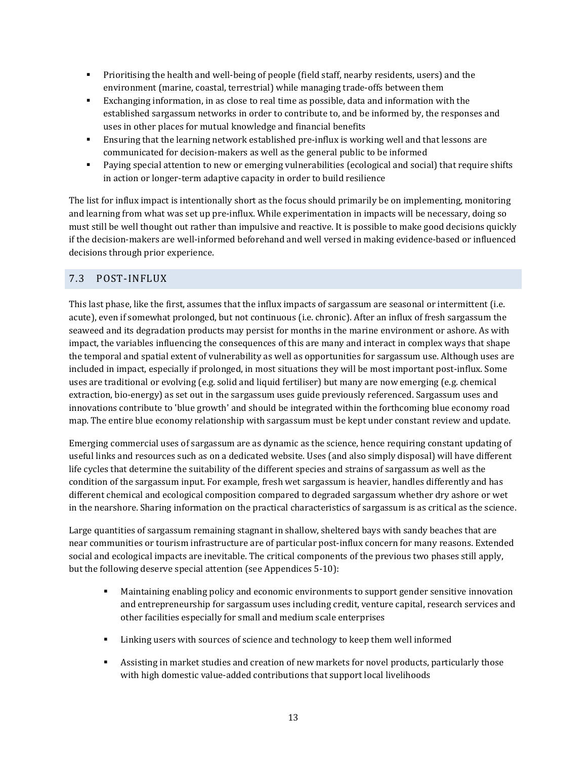- **Prioritising the health and well-being of people (field staff, nearby residents, users) and the** environment (marine, coastal, terrestrial) while managing trade-offs between them
- Exchanging information, in as close to real time as possible, data and information with the established sargassum networks in order to contribute to, and be informed by, the responses and uses in other places for mutual knowledge and financial benefits
- Ensuring that the learning network established pre-influx is working well and that lessons are communicated for decision-makers as well as the general public to be informed
- Paying special attention to new or emerging vulnerabilities (ecological and social) that require shifts in action or longer-term adaptive capacity in order to build resilience

The list for influx impact is intentionally short as the focus should primarily be on implementing, monitoring and learning from what was set up pre-influx. While experimentation in impacts will be necessary, doing so must still be well thought out rather than impulsive and reactive. It is possible to make good decisions quickly if the decision-makers are well-informed beforehand and well versed in making evidence-based or influenced decisions through prior experience.

## <span id="page-16-0"></span>7.3 POST-INFLUX

This last phase, like the first, assumes that the influx impacts of sargassum are seasonal or intermittent (i.e. acute), even if somewhat prolonged, but not continuous (i.e. chronic). After an influx of fresh sargassum the seaweed and its degradation products may persist for months in the marine environment or ashore. As with impact, the variables influencing the consequences of this are many and interact in complex ways that shape the temporal and spatial extent of vulnerability as well as opportunities for sargassum use. Although uses are included in impact, especially if prolonged, in most situations they will be most important post-influx. Some uses are traditional or evolving (e.g. solid and liquid fertiliser) but many are now emerging (e.g. chemical extraction, bio-energy) as set out in the sargassum uses guide previously referenced. Sargassum uses and innovations contribute to 'blue growth' and should be integrated within the forthcoming blue economy road map. The entire blue economy relationship with sargassum must be kept under constant review and update.

Emerging commercial uses of sargassum are as dynamic as the science, hence requiring constant updating of useful links and resources such as on a dedicated website. Uses (and also simply disposal) will have different life cycles that determine the suitability of the different species and strains of sargassum as well as the condition of the sargassum input. For example, fresh wet sargassum is heavier, handles differently and has different chemical and ecological composition compared to degraded sargassum whether dry ashore or wet in the nearshore. Sharing information on the practical characteristics of sargassum is as critical as the science.

Large quantities of sargassum remaining stagnant in shallow, sheltered bays with sandy beaches that are near communities or tourism infrastructure are of particular post-influx concern for many reasons. Extended social and ecological impacts are inevitable. The critical components of the previous two phases still apply, but the following deserve special attention (see Appendices 5-10):

- Maintaining enabling policy and economic environments to support gender sensitive innovation and entrepreneurship for sargassum uses including credit, venture capital, research services and other facilities especially for small and medium scale enterprises
- Linking users with sources of science and technology to keep them well informed
- Assisting in market studies and creation of new markets for novel products, particularly those with high domestic value-added contributions that support local livelihoods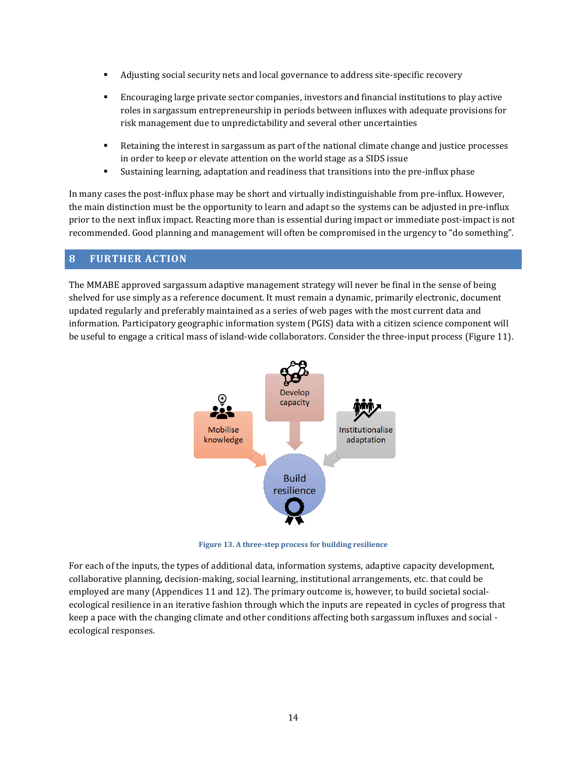- Adjusting social security nets and local governance to address site-specific recovery
- Encouraging large private sector companies, investors and financial institutions to play active roles in sargassum entrepreneurship in periods between influxes with adequate provisions for risk management due to unpredictability and several other uncertainties
- Retaining the interest in sargassum as part of the national climate change and justice processes in order to keep or elevate attention on the world stage as a SIDS issue
- Sustaining learning, adaptation and readiness that transitions into the pre-influx phase

In many cases the post-influx phase may be short and virtually indistinguishable from pre-influx. However, the main distinction must be the opportunity to learn and adapt so the systems can be adjusted in pre-influx prior to the next influx impact. Reacting more than is essential during impact or immediate post-impact is not recommended. Good planning and management will often be compromised in the urgency to "do something".

#### <span id="page-17-0"></span>**8 FURTHER ACTION**

The MMABE approved sargassum adaptive management strategy will never be final in the sense of being shelved for use simply as a reference document. It must remain a dynamic, primarily electronic, document updated regularly and preferably maintained as a series of web pages with the most current data and information. Participatory geographic information system (PGIS) data with a citizen science component will be useful to engage a critical mass of island-wide collaborators. Consider the three-input process [\(Figure 11\)](#page-17-1).



**Figure 13. A three-step process for building resilience**

<span id="page-17-1"></span>For each of the inputs, the types of additional data, information systems, adaptive capacity development, collaborative planning, decision-making, social learning, institutional arrangements, etc. that could be employed are many (Appendices 11 and 12). The primary outcome is, however, to build societal socialecological resilience in an iterative fashion through which the inputs are repeated in cycles of progress that keep a pace with the changing climate and other conditions affecting both sargassum influxes and social ecological responses.